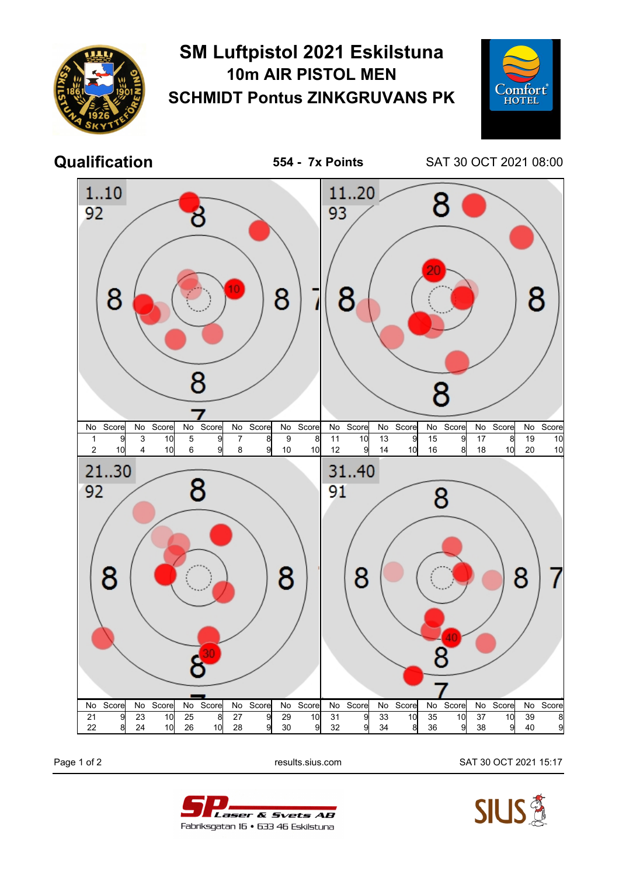

## **SM Luftpistol 2021 Eskilstuna 10m AIR PISTOL MEN SCHMIDT Pontus ZINKGRUVANS PK**



**Qualification 554 - 7x Points** SAT 30 OCT 2021 08:00



Page 1 of 2 results.sius.com SAT 30 OCT 2021 15:17